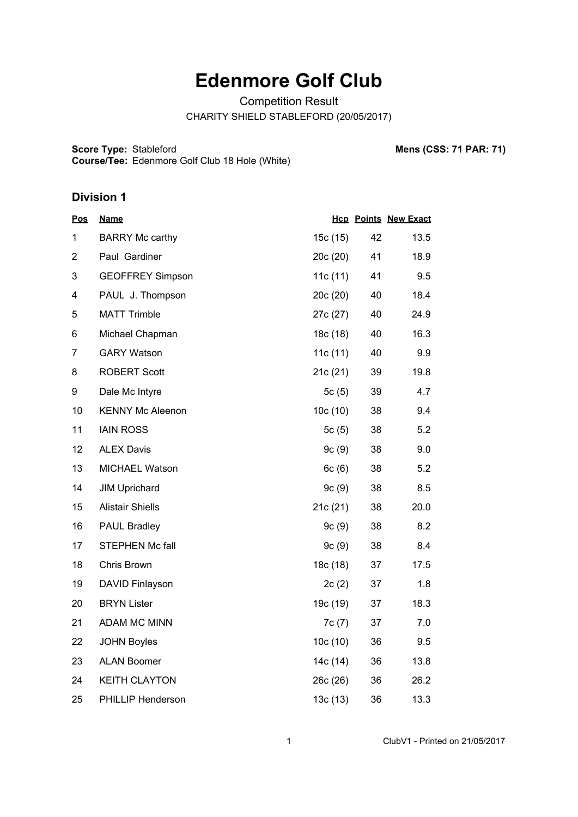# **Edenmore Golf Club**

Competition Result

CHARITY SHIELD STABLEFORD (20/05/2017)

**Score Type: Course/Tee:** Stableford **Mens (CSS: 71 PAR: 71)** Edenmore Golf Club 18 Hole (White)

#### **Division 1**

| <b>Pos</b>     | <u>Name</u>              |            |    | <b>Hcp Points New Exact</b> |
|----------------|--------------------------|------------|----|-----------------------------|
| 1              | <b>BARRY Mc carthy</b>   | 15c (15)   | 42 | 13.5                        |
| $\overline{2}$ | Paul Gardiner            | 20c (20)   | 41 | 18.9                        |
| 3              | <b>GEOFFREY Simpson</b>  | 11c $(11)$ | 41 | 9.5                         |
| 4              | PAUL J. Thompson         | 20c (20)   | 40 | 18.4                        |
| 5              | <b>MATT Trimble</b>      | 27c (27)   | 40 | 24.9                        |
| 6              | Michael Chapman          | 18c (18)   | 40 | 16.3                        |
| 7              | <b>GARY Watson</b>       | 11c(11)    | 40 | 9.9                         |
| 8              | <b>ROBERT Scott</b>      | 21c(21)    | 39 | 19.8                        |
| 9              | Dale Mc Intyre           | 5 $c(5)$   | 39 | 4.7                         |
| 10             | <b>KENNY Mc Aleenon</b>  | 10c(10)    | 38 | 9.4                         |
| 11             | <b>IAIN ROSS</b>         | 5 $c(5)$   | 38 | 5.2                         |
| 12             | <b>ALEX Davis</b>        | 9c(9)      | 38 | 9.0                         |
| 13             | <b>MICHAEL Watson</b>    | 6c(6)      | 38 | 5.2                         |
| 14             | <b>JIM Uprichard</b>     | 9c(9)      | 38 | 8.5                         |
| 15             | <b>Alistair Shiells</b>  | 21c (21)   | 38 | 20.0                        |
| 16             | <b>PAUL Bradley</b>      | 9c(9)      | 38 | 8.2                         |
| 17             | <b>STEPHEN Mc fall</b>   | 9c(9)      | 38 | 8.4                         |
| 18             | Chris Brown              | 18c (18)   | 37 | 17.5                        |
| 19             | <b>DAVID Finlayson</b>   | 2c(2)      | 37 | 1.8                         |
| 20             | <b>BRYN Lister</b>       | 19c (19)   | 37 | 18.3                        |
| 21             | ADAM MC MINN             | 7c(7)      | 37 | 7.0                         |
| 22             | <b>JOHN Boyles</b>       | 10c(10)    | 36 | 9.5                         |
| 23             | <b>ALAN Boomer</b>       | 14c (14)   | 36 | 13.8                        |
| 24             | <b>KEITH CLAYTON</b>     | 26c (26)   | 36 | 26.2                        |
| 25             | <b>PHILLIP Henderson</b> | 13c(13)    | 36 | 13.3                        |

1 ClubV1 - Printed on 21/05/2017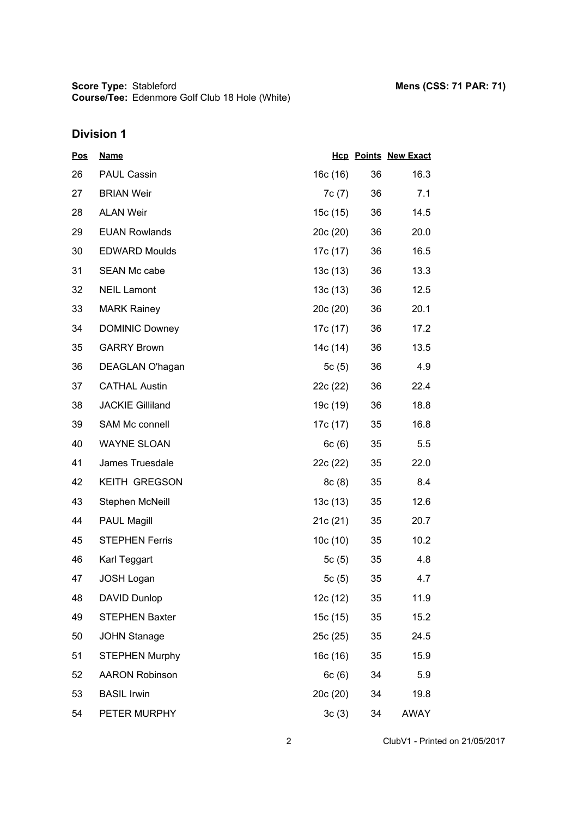# **Division 1**

| <u>Pos</u> | <b>Name</b>             |          |    | <b>Hcp Points New Exact</b> |
|------------|-------------------------|----------|----|-----------------------------|
| 26         | <b>PAUL Cassin</b>      | 16c (16) | 36 | 16.3                        |
| 27         | <b>BRIAN Weir</b>       | 7c(7)    | 36 | 7.1                         |
| 28         | <b>ALAN Weir</b>        | 15c (15) | 36 | 14.5                        |
| 29         | <b>EUAN Rowlands</b>    | 20c(20)  | 36 | 20.0                        |
| 30         | <b>EDWARD Moulds</b>    | 17c (17) | 36 | 16.5                        |
| 31         | SEAN Mc cabe            | 13c(13)  | 36 | 13.3                        |
| 32         | <b>NEIL Lamont</b>      | 13c(13)  | 36 | 12.5                        |
| 33         | <b>MARK Rainey</b>      | 20c(20)  | 36 | 20.1                        |
| 34         | <b>DOMINIC Downey</b>   | 17c (17) | 36 | 17.2                        |
| 35         | <b>GARRY Brown</b>      | 14c (14) | 36 | 13.5                        |
| 36         | DEAGLAN O'hagan         | 5c(5)    | 36 | 4.9                         |
| 37         | <b>CATHAL Austin</b>    | 22c (22) | 36 | 22.4                        |
| 38         | <b>JACKIE Gilliland</b> | 19c (19) | 36 | 18.8                        |
| 39         | <b>SAM Mc connell</b>   | 17c (17) | 35 | 16.8                        |
| 40         | <b>WAYNE SLOAN</b>      | 6c(6)    | 35 | 5.5                         |
| 41         | James Truesdale         | 22c (22) | 35 | 22.0                        |
| 42         | <b>KEITH GREGSON</b>    | 8c(8)    | 35 | 8.4                         |
| 43         | Stephen McNeill         | 13c(13)  | 35 | 12.6                        |
| 44         | <b>PAUL Magill</b>      | 21c(21)  | 35 | 20.7                        |
| 45         | <b>STEPHEN Ferris</b>   | 10c(10)  | 35 | 10.2                        |
| 46         | Karl Teggart            | 5 $c(5)$ | 35 | 4.8                         |
| 47         | <b>JOSH Logan</b>       | 5 $c(5)$ | 35 | 4.7                         |
| 48         | DAVID Dunlop            | 12c (12) | 35 | 11.9                        |
| 49         | <b>STEPHEN Baxter</b>   | 15c(15)  | 35 | 15.2                        |
| 50         | <b>JOHN Stanage</b>     | 25c(25)  | 35 | 24.5                        |
| 51         | <b>STEPHEN Murphy</b>   | 16c (16) | 35 | 15.9                        |
| 52         | <b>AARON Robinson</b>   | 6c(6)    | 34 | 5.9                         |
| 53         | <b>BASIL Irwin</b>      | 20c (20) | 34 | 19.8                        |
| 54         | PETER MURPHY            | 3c(3)    | 34 | <b>AWAY</b>                 |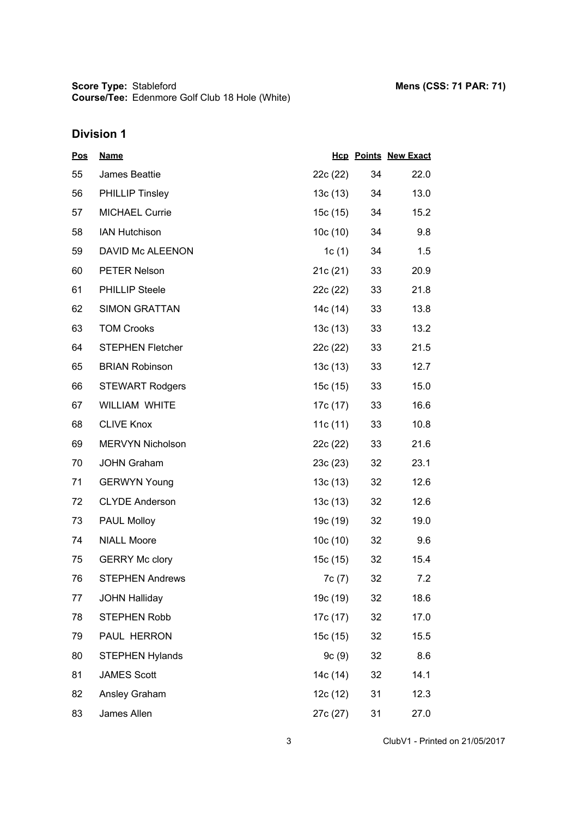# **Division 1**

| <u>Pos</u> | <b>Name</b>             |          |    | <b>Hcp Points New Exact</b> |
|------------|-------------------------|----------|----|-----------------------------|
| 55         | James Beattie           | 22c (22) | 34 | 22.0                        |
| 56         | <b>PHILLIP Tinsley</b>  | 13c (13) | 34 | 13.0                        |
| 57         | <b>MICHAEL Currie</b>   | 15c (15) | 34 | 15.2                        |
| 58         | <b>IAN Hutchison</b>    | 10c (10) | 34 | 9.8                         |
| 59         | DAVID Mc ALEENON        | 1c (1)   | 34 | 1.5                         |
| 60         | <b>PETER Nelson</b>     | 21c (21) | 33 | 20.9                        |
| 61         | <b>PHILLIP Steele</b>   | 22c (22) | 33 | 21.8                        |
| 62         | <b>SIMON GRATTAN</b>    | 14c (14) | 33 | 13.8                        |
| 63         | <b>TOM Crooks</b>       | 13c (13) | 33 | 13.2                        |
| 64         | <b>STEPHEN Fletcher</b> | 22c (22) | 33 | 21.5                        |
| 65         | <b>BRIAN Robinson</b>   | 13c (13) | 33 | 12.7                        |
| 66         | <b>STEWART Rodgers</b>  | 15c (15) | 33 | 15.0                        |
| 67         | <b>WILLIAM WHITE</b>    | 17c (17) | 33 | 16.6                        |
| 68         | <b>CLIVE Knox</b>       | 11c (11) | 33 | 10.8                        |
| 69         | <b>MERVYN Nicholson</b> | 22c (22) | 33 | 21.6                        |
| 70         | <b>JOHN Graham</b>      | 23c (23) | 32 | 23.1                        |
| 71         | <b>GERWYN Young</b>     | 13c (13) | 32 | 12.6                        |
| 72         | <b>CLYDE Anderson</b>   | 13c (13) | 32 | 12.6                        |
| 73         | PAUL Molloy             | 19c (19) | 32 | 19.0                        |
| 74         | <b>NIALL Moore</b>      | 10c (10) | 32 | 9.6                         |
| 75         | <b>GERRY Mc clory</b>   | 15c (15) | 32 | 15.4                        |
| 76         | <b>STEPHEN Andrews</b>  | 7c (7)   | 32 | 7.2                         |
| 77         | <b>JOHN Halliday</b>    | 19c (19) | 32 | 18.6                        |
| 78         | STEPHEN Robb            | 17c (17) | 32 | 17.0                        |
| 79         | PAUL HERRON             | 15c (15) | 32 | 15.5                        |
| 80         | <b>STEPHEN Hylands</b>  | 9c(9)    | 32 | 8.6                         |
| 81         | <b>JAMES Scott</b>      | 14c (14) | 32 | 14.1                        |
| 82         | Ansley Graham           | 12c(12)  | 31 | 12.3                        |
| 83         | James Allen             | 27c (27) | 31 | 27.0                        |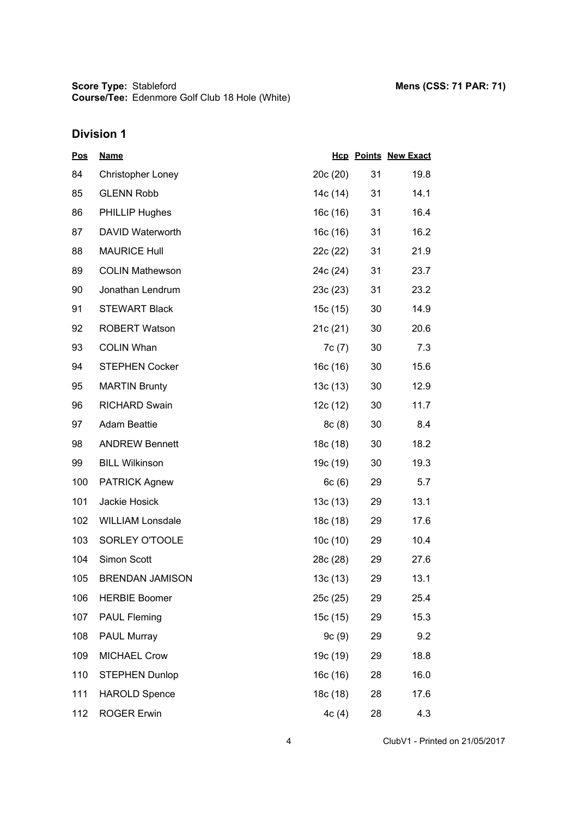**Score Type: Course/Tee:** Stableford **Mens (CSS: 71 PAR: 71)** Edenmore Golf Club 18 Hole (White)

# **Division 1**

| <u>Pos</u> | <b>Name</b>              |          |    | <b>Hcp Points New Exact</b> |
|------------|--------------------------|----------|----|-----------------------------|
| 84         | <b>Christopher Loney</b> | 20c(20)  | 31 | 19.8                        |
| 85         | <b>GLENN Robb</b>        | 14c (14) | 31 | 14.1                        |
| 86         | <b>PHILLIP Hughes</b>    | 16c(16)  | 31 | 16.4                        |
| 87         | DAVID Waterworth         | 16c (16) | 31 | 16.2                        |
| 88         | <b>MAURICE Hull</b>      | 22c (22) | 31 | 21.9                        |
| 89         | <b>COLIN Mathewson</b>   | 24c (24) | 31 | 23.7                        |
| 90         | Jonathan Lendrum         | 23c(23)  | 31 | 23.2                        |
| 91         | <b>STEWART Black</b>     | 15c (15) | 30 | 14.9                        |
| 92         | <b>ROBERT Watson</b>     | 21c(21)  | 30 | 20.6                        |
| 93         | <b>COLIN Whan</b>        | 7c(7)    | 30 | 7.3                         |
| 94         | <b>STEPHEN Cocker</b>    | 16c(16)  | 30 | 15.6                        |
| 95         | <b>MARTIN Brunty</b>     | 13c(13)  | 30 | 12.9                        |
| 96         | <b>RICHARD Swain</b>     | 12c(12)  | 30 | 11.7                        |
| 97         | <b>Adam Beattie</b>      | 8c(8)    | 30 | 8.4                         |
| 98         | <b>ANDREW Bennett</b>    | 18c (18) | 30 | 18.2                        |
| 99         | <b>BILL Wilkinson</b>    | 19c (19) | 30 | 19.3                        |
| 100        | <b>PATRICK Agnew</b>     | 6c(6)    | 29 | 5.7                         |
| 101        | Jackie Hosick            | 13c(13)  | 29 | 13.1                        |
| 102        | <b>WILLIAM Lonsdale</b>  | 18c (18) | 29 | 17.6                        |
| 103        | SORLEY O'TOOLE           | 10c(10)  | 29 | 10.4                        |
| 104        | Simon Scott              | 28c (28) | 29 | 27.6                        |
| 105        | <b>BRENDAN JAMISON</b>   | 13c(13)  | 29 | 13.1                        |
| 106        | <b>HERBIE Boomer</b>     | 25c(25)  | 29 | 25.4                        |
| 107        | <b>PAUL Fleming</b>      | 15c (15) | 29 | 15.3                        |
| 108        | <b>PAUL Murray</b>       | 9c(9)    | 29 | 9.2                         |
| 109        | <b>MICHAEL Crow</b>      | 19c (19) | 29 | 18.8                        |
| 110        | <b>STEPHEN Dunlop</b>    | 16c(16)  | 28 | 16.0                        |
| 111        | <b>HAROLD Spence</b>     | 18c (18) | 28 | 17.6                        |
| 112        | <b>ROGER Erwin</b>       | 4c(4)    | 28 | 4.3                         |

4 ClubV1 - Printed on 21/05/2017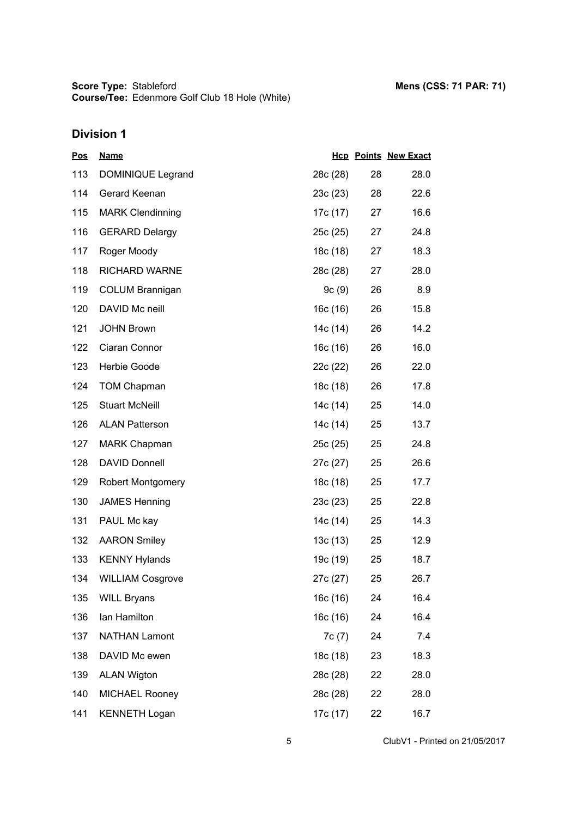**Score Type: Course/Tee:** Stableford **Mens (CSS: 71 PAR: 71)** Edenmore Golf Club 18 Hole (White)

## **Division 1**

| <u>Pos</u> | <b>Name</b>              |          |    | <b>Hcp Points New Exact</b> |
|------------|--------------------------|----------|----|-----------------------------|
| 113        | DOMINIQUE Legrand        | 28c (28) | 28 | 28.0                        |
| 114        | Gerard Keenan            | 23c(23)  | 28 | 22.6                        |
| 115        | <b>MARK Clendinning</b>  | 17c (17) | 27 | 16.6                        |
| 116        | <b>GERARD Delargy</b>    | 25c(25)  | 27 | 24.8                        |
| 117        | Roger Moody              | 18c (18) | 27 | 18.3                        |
| 118        | <b>RICHARD WARNE</b>     | 28c (28) | 27 | 28.0                        |
| 119        | <b>COLUM Brannigan</b>   | 9c(9)    | 26 | 8.9                         |
| 120        | DAVID Mc neill           | 16c(16)  | 26 | 15.8                        |
| 121        | <b>JOHN Brown</b>        | 14c (14) | 26 | 14.2                        |
| 122        | Ciaran Connor            | 16c (16) | 26 | 16.0                        |
| 123        | Herbie Goode             | 22c (22) | 26 | 22.0                        |
| 124        | <b>TOM Chapman</b>       | 18c (18) | 26 | 17.8                        |
| 125        | <b>Stuart McNeill</b>    | 14c (14) | 25 | 14.0                        |
| 126        | <b>ALAN Patterson</b>    | 14c (14) | 25 | 13.7                        |
| 127        | <b>MARK Chapman</b>      | 25c(25)  | 25 | 24.8                        |
| 128        | <b>DAVID Donnell</b>     | 27c (27) | 25 | 26.6                        |
| 129        | <b>Robert Montgomery</b> | 18c (18) | 25 | 17.7                        |
| 130        | <b>JAMES Henning</b>     | 23c(23)  | 25 | 22.8                        |
| 131        | PAUL Mc kay              | 14c (14) | 25 | 14.3                        |
| 132        | <b>AARON Smiley</b>      | 13c (13) | 25 | 12.9                        |
| 133        | <b>KENNY Hylands</b>     | 19c (19) | 25 | 18.7                        |
| 134        | <b>WILLIAM Cosgrove</b>  | 27c (27) | 25 | 26.7                        |
| 135        | <b>WILL Bryans</b>       | 16c (16) | 24 | 16.4                        |
| 136        | lan Hamilton             | 16c (16) | 24 | 16.4                        |
| 137        | <b>NATHAN Lamont</b>     | 7c(7)    | 24 | 7.4                         |
| 138        | DAVID Mc ewen            | 18c (18) | 23 | 18.3                        |
| 139        | <b>ALAN Wigton</b>       | 28c (28) | 22 | 28.0                        |
| 140        | <b>MICHAEL Rooney</b>    | 28c (28) | 22 | 28.0                        |
| 141        | <b>KENNETH Logan</b>     | 17c (17) | 22 | 16.7                        |